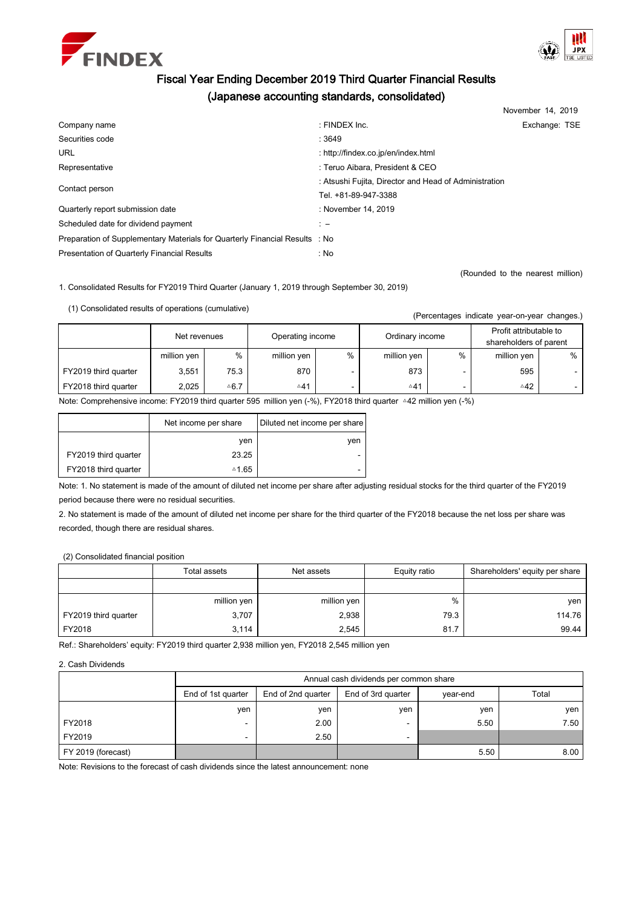



# Fiscal Year Ending December 2019 Third Quarter Financial Results (Japanese accounting standards, consolidated)

|                                                                             |                                                       | November 14, 2019 |  |
|-----------------------------------------------------------------------------|-------------------------------------------------------|-------------------|--|
| Company name                                                                | : FINDEX Inc.                                         | Exchange: TSE     |  |
| Securities code                                                             | :3649                                                 |                   |  |
| <b>URL</b>                                                                  | : http://findex.co.jp/en/index.html                   |                   |  |
| Representative                                                              | : Teruo Aibara, President & CEO                       |                   |  |
| Contact person                                                              | : Atsushi Fujita, Director and Head of Administration |                   |  |
|                                                                             | Tel. +81-89-947-3388                                  |                   |  |
| Quarterly report submission date                                            | : November 14, 2019                                   |                   |  |
| Scheduled date for dividend payment                                         | $\mathbf{r}$                                          |                   |  |
| Preparation of Supplementary Materials for Quarterly Financial Results : No |                                                       |                   |  |
| Presentation of Quarterly Financial Results                                 | : No                                                  |                   |  |

(Rounded to the nearest million)

1. Consolidated Results for FY2019 Third Quarter (January 1, 2019 through September 30, 2019)

(1) Consolidated results of operations (cumulative)

|                      | Net revenues |                 | Operating income |   | Ordinary income |   | Profit attributable to<br>shareholders of parent |   |
|----------------------|--------------|-----------------|------------------|---|-----------------|---|--------------------------------------------------|---|
|                      | million yen  | %               | million yen      | % | million yen     | % | million yen                                      | % |
| FY2019 third quarter | 3,551        | 75.3            | 870              |   | 873             |   | 595                                              |   |
| FY2018 third quarter | 2.025        | $\triangle 6.7$ | $\triangle 41$   |   | $\triangle 41$  |   | $\triangle 42$                                   |   |

Note: Comprehensive income: FY2019 third quarter 595 million yen (-%), FY2018 third quarter △42 million yen (-%)

|                      | Net income per share | Diluted net income per share |
|----------------------|----------------------|------------------------------|
|                      | ven                  | ven                          |
| FY2019 third quarter | 23.25                | -                            |
| FY2018 third quarter | ≙1.65                | -                            |

Note: 1. No statement is made of the amount of diluted net income per share after adjusting residual stocks for the third quarter of the FY2019 period because there were no residual securities.

2. No statement is made of the amount of diluted net income per share for the third quarter of the FY2018 because the net loss per share was recorded, though there are residual shares.

(2) Consolidated financial position

|                      | Total assets | Net assets  | Equity ratio | Shareholders' equity per share |
|----------------------|--------------|-------------|--------------|--------------------------------|
|                      |              |             |              |                                |
|                      | million yen  | million yen | %            | ven                            |
| FY2019 third quarter | 3,707        | 2,938       | 79.3         | 114.76                         |
| FY2018               | 3.114        | 2,545       | 81.7         | 99.44                          |

Ref.: Shareholders' equity: FY2019 third quarter 2,938 million yen, FY2018 2,545 million yen

2. Cash Dividends

|                    | Annual cash dividends per common share |                    |                    |          |       |  |  |  |
|--------------------|----------------------------------------|--------------------|--------------------|----------|-------|--|--|--|
|                    | End of 1st quarter                     | End of 2nd quarter | End of 3rd quarter | vear-end | Total |  |  |  |
|                    | yen                                    | ven                | ven                | ven      | ven   |  |  |  |
| FY2018             |                                        | 2.00               | -                  | 5.50     | 7.50  |  |  |  |
| FY2019             |                                        | 2.50               | -                  |          |       |  |  |  |
| FY 2019 (forecast) |                                        |                    |                    | 5.50     | 8.00  |  |  |  |

Note: Revisions to the forecast of cash dividends since the latest announcement: none

(Percentages indicate year-on-year changes.)